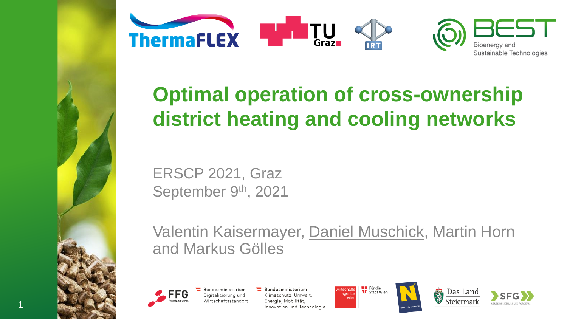

# **Optimal operation of cross-ownership district heating and cooling networks**

ERSCP 2021, Graz September 9<sup>th</sup>, 2021

Valentin Kaisermayer, Daniel Muschick, Martin Horn and Markus Gölles



1

Bundesministerium Digitalisierung und Wirtschaftsstandort Bundesministerium Klimaschutz, Umwelt, Energie, Mobilität, Innovation und Technologie





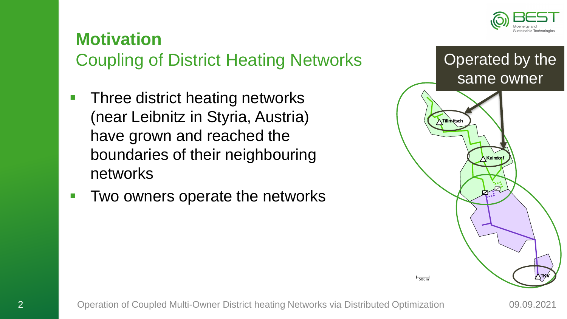

## **Motivation** Coupling of District Heating Networks

- Three district heating networks (near Leibnitz in Styria, Austria) have grown and reached the boundaries of their neighbouring networks
- Two owners operate the networks

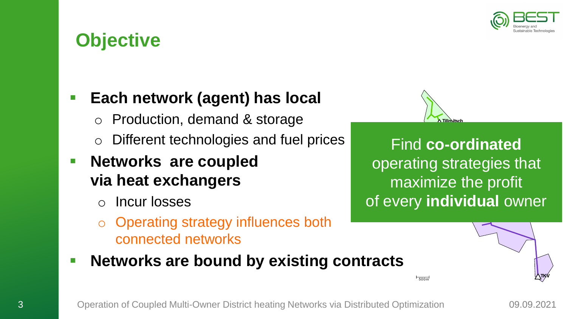

## **Objective**

#### ■ **Each network (agent) has local**

- Production, demand & storage
- Different technologies and fuel prices

### ▪ **Networks are coupled via heat exchangers**

- Incur losses
- **Operating strategy influences both** connected networks



**500n** 

 operating strategies that Find **co-ordinated** maximize the profit of every **individual** owner

■ Networks are bound by existing contracts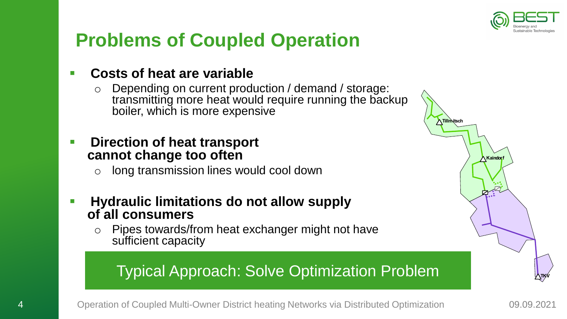

**Tillm**itsch

*<u>Kaindorf</u>* 

# **Problems of Coupled Operation**

#### ▪ **Costs of heat are variable**

- o Depending on current production / demand / storage: transmitting more heat would require running the backup boiler, which is more expensive
- Direction of heat transport **cannot change too often**
	- o long transmission lines would cool down
- **Hydraulic limitations do not allow supply of all consumers**
	- o Pipes towards/from heat exchanger might not have sufficient capacity

#### Typical Approach: Solve Optimization Problem

4 Operation of Coupled Multi-Owner District heating Networks via Distributed Optimization 09.09.2021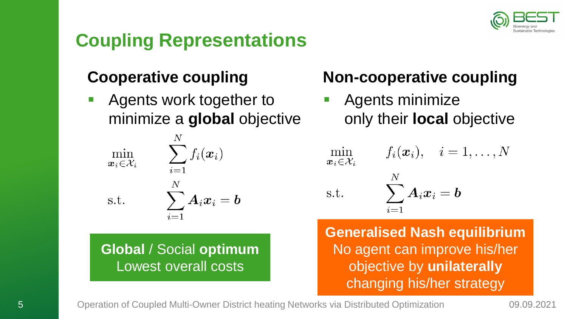

# **Coupling Representations**

#### **Cooperative coupling**

Agents work together to minimize a **global** objective

$$
\min_{\boldsymbol{x}_i \in \mathcal{X}_i} \qquad \sum_{i=1}^N f_i(\boldsymbol{x}_i) \\ \text{s.t.} \qquad \sum_{i=1}^N \boldsymbol{A}_i \boldsymbol{x}_i = \boldsymbol{b}
$$

**Global** / Social **optimum** Lowest overall costs

### **Non-cooperative coupling**

Agents minimize only their **local** objective

min  $\boldsymbol{x}_i \in \mathcal{X}_i$ 

$$
f_i(\boldsymbol{x}_i), \quad i=1,\ldots,N
$$

s.t.

$$
\sum_{i=1}^N \bm A_i \bm x_i = \bm b
$$

 $\overline{1}$ 

**Generalised Nash equilibrium** No agent can improve his/her objective by **unilaterally** changing his/her strategy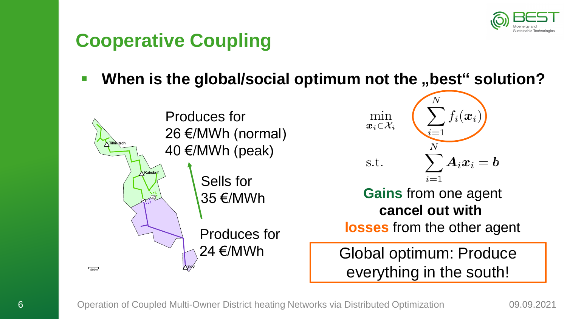

# **Cooperative Coupling**

**When** is the global/social optimum not the "best" solution?



 $f_i(\boldsymbol{x}_i)$ min  $\overline{\boldsymbol{x}_i\in\!\mathcal{X}_i}$  $\boldsymbol{A}_i\boldsymbol{x}_i = \boldsymbol{b}$ 

**Gains** from one agent **cancel out with**

**losses** from the other agent

Global optimum: Produce everything in the south!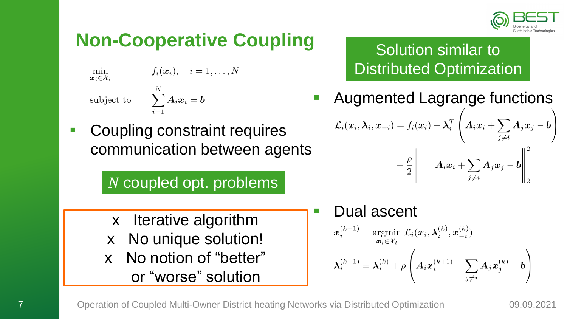

# **Non-Cooperative Coupling**

 $\min_{\bm{x}_i \in \mathcal{X}_i}$  $f_i(\boldsymbol{x}_i), \quad i=1,\ldots,N$ subject to  $\sum_{i=1}^N A_i x_i = b$ 

■ Coupling constraint requires communication between agents

*N* coupled opt. problems

- x Iterative algorithm
- x No unique solution!
- x No notion of "better" or "worse" solution

Solution similar to Distributed Optimization

- Augmented Lagrange functions  $\mathcal{L}_i(\bm{x}_i, \bm{\lambda}_i, \bm{x}_{-i}) = f_i(\bm{x}_i) + \bm{\lambda}_i^T \left(\bm{A}_i \bm{x}_i + \sum_{j \neq i} \bm{A}_j \bm{x}_j - \bm{b}\right).$  $\begin{array}{c} \mathbf{1} + \left. \frac{\rho}{2} \right\| \qquad \boldsymbol{A}_i \boldsymbol{x}_i + \sum_{j \neq i} \boldsymbol{A}_j \boldsymbol{x}_j - \boldsymbol{b} \Bigg\|_2^2 \end{array}$
- Dual ascent  $\boldsymbol{x}_i^{(k+1)} = \operatornamewithlimits{argmin}_{\boldsymbol{x}_i \in \mathcal{X}_i} \ \mathcal{L}_i(\boldsymbol{x}_i, \boldsymbol{\lambda}_i^{(k)}, \boldsymbol{x}_{-i}^{(k)})$  $\lambda_i^{(k+1)} = \lambda_i^{(k)} + \rho \left( A_i x_i^{(k+1)} + \sum_{i \neq i} A_j x_j^{(k)} - b \right)$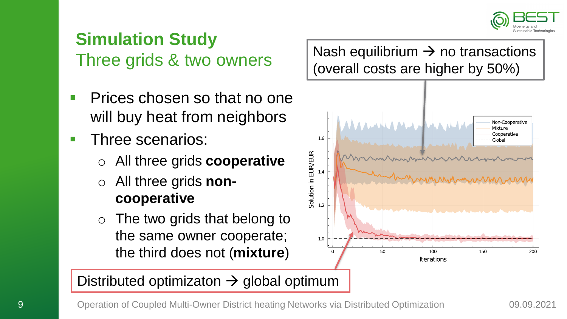

# **Simulation Study** Three grids & two owners

- Prices chosen so that no one will buy heat from neighbors
- **F** Three scenarios:
	- All three grids **cooperative**
	- All three grids **noncooperative**
	- $\circ$  The two grids that belong to the same owner cooperate; the third does not (**mixture**)

Nash equilibrium  $\rightarrow$  no transactions (overall costs are higher by 50%)



#### Distributed optimizaton  $\rightarrow$  global optimum

9 Operation of Coupled Multi-Owner District heating Networks via Distributed Optimization 09.09.2021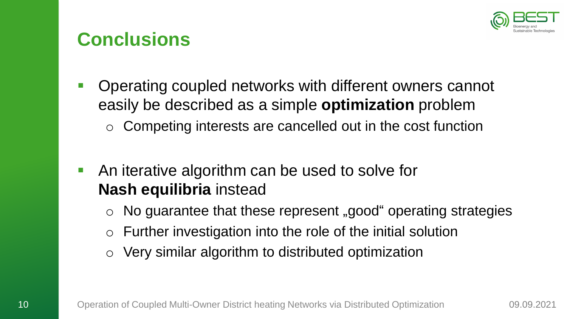

### **Conclusions**

- **Operating coupled networks with different owners cannot** easily be described as a simple **optimization** problem Competing interests are cancelled out in the cost function
- **E** An iterative algorithm can be used to solve for **Nash equilibria** instead
	- $\circ$  No guarantee that these represent "good" operating strategies
	- $\circ$  Further investigation into the role of the initial solution
	- Very similar algorithm to distributed optimization